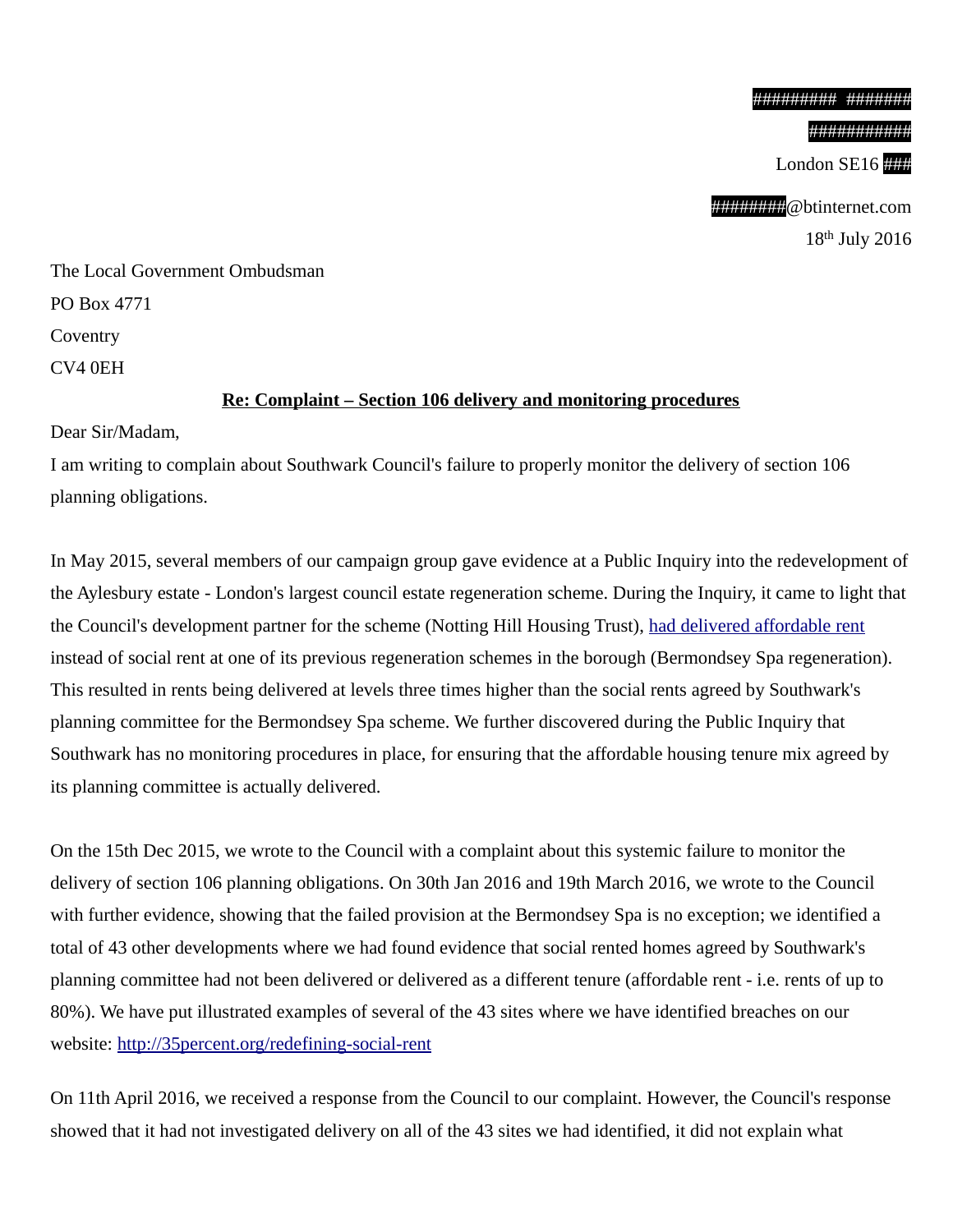###########

London SE16

#########@btinternet.com 18th July 2016

The Local Government Ombudsman PO Box 4771 Coventry CV4 0EH

## **Re: Complaint – Section 106 delivery and monitoring procedures**

Dear Sir/Madam,

I am writing to complain about Southwark Council's failure to properly monitor the delivery of section 106 planning obligations.

In May 2015, several members of our campaign group gave evidence at a Public Inquiry into the redevelopment of the Aylesbury estate - London's largest council estate regeneration scheme. During the Inquiry, it came to light that the Council's development partner for the scheme (Notting Hill Housing Trust), [had delivered affordable rent](http://www.southwarknews.co.uk/news/council-takes-no-legal-action-over-44-missing-social-housing-units/) instead of social rent at one of its previous regeneration schemes in the borough (Bermondsey Spa regeneration). This resulted in rents being delivered at levels three times higher than the social rents agreed by Southwark's planning committee for the Bermondsey Spa scheme. We further discovered during the Public Inquiry that Southwark has no monitoring procedures in place, for ensuring that the affordable housing tenure mix agreed by its planning committee is actually delivered.

On the 15th Dec 2015, we wrote to the Council with a complaint about this systemic failure to monitor the delivery of section 106 planning obligations. On 30th Jan 2016 and 19th March 2016, we wrote to the Council with further evidence, showing that the failed provision at the Bermondsey Spa is no exception; we identified a total of 43 other developments where we had found evidence that social rented homes agreed by Southwark's planning committee had not been delivered or delivered as a different tenure (affordable rent - i.e. rents of up to 80%). We have put illustrated examples of several of the 43 sites where we have identified breaches on our website:<http://35percent.org/redefining-social-rent>

On 11th April 2016, we received a response from the Council to our complaint. However, the Council's response showed that it had not investigated delivery on all of the 43 sites we had identified, it did not explain what